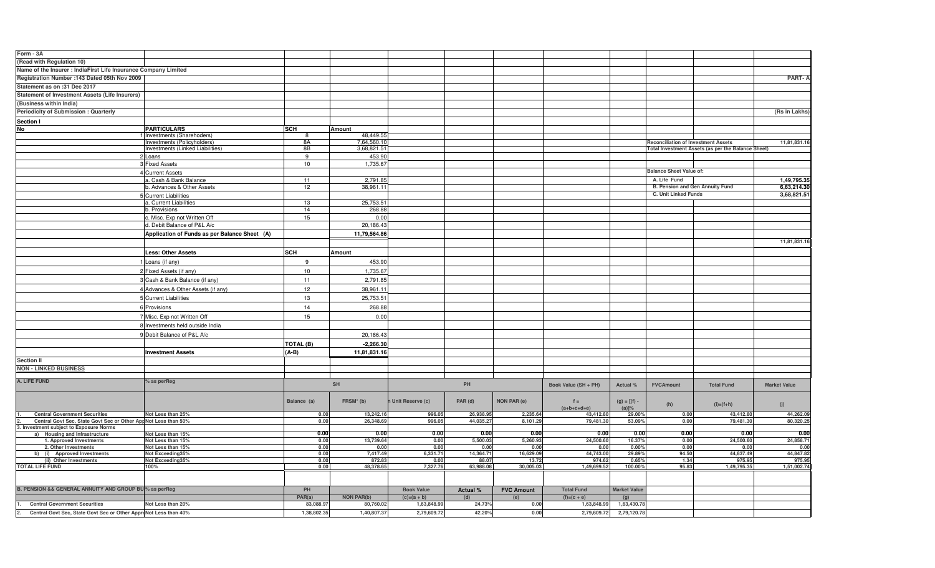| Form - 3A                                                        |                                               |                  |                   |                         |           |                    |                      |                     |                                            |                                                    |                     |
|------------------------------------------------------------------|-----------------------------------------------|------------------|-------------------|-------------------------|-----------|--------------------|----------------------|---------------------|--------------------------------------------|----------------------------------------------------|---------------------|
| (Read with Regulation 10)                                        |                                               |                  |                   |                         |           |                    |                      |                     |                                            |                                                    |                     |
| Name of the Insurer : IndiaFirst Life Insurance Company Limited  |                                               |                  |                   |                         |           |                    |                      |                     |                                            |                                                    |                     |
| Registration Number : 143 Dated 05th Nov 2009                    |                                               |                  |                   |                         |           |                    |                      |                     |                                            |                                                    | <b>PART-A</b>       |
|                                                                  |                                               |                  |                   |                         |           |                    |                      |                     |                                            |                                                    |                     |
| Statement as on :31 Dec 2017                                     |                                               |                  |                   |                         |           |                    |                      |                     |                                            |                                                    |                     |
| Statement of Investment Assets (Life Insurers)                   |                                               |                  |                   |                         |           |                    |                      |                     |                                            |                                                    |                     |
| (Business within India)                                          |                                               |                  |                   |                         |           |                    |                      |                     |                                            |                                                    |                     |
| Periodicity of Submission: Quarterly                             |                                               |                  |                   |                         |           |                    |                      |                     |                                            |                                                    | (Rs in Lakhs)       |
| Section I                                                        |                                               |                  |                   |                         |           |                    |                      |                     |                                            |                                                    |                     |
| No                                                               | <b>PARTICULARS</b>                            | SCH              | Amount            |                         |           |                    |                      |                     |                                            |                                                    |                     |
|                                                                  | Investments (Sharehoders)                     |                  | 48,449.55         |                         |           |                    |                      |                     |                                            |                                                    |                     |
|                                                                  | Investments (Policyholders)                   | -8A              | 7,64,560.10       |                         |           |                    |                      |                     | <b>Reconciliation of Investment Assets</b> |                                                    | 11,81,831.16        |
|                                                                  | Investments (Linked Liabilities)              | 8B               | 3,68,821.51       |                         |           |                    |                      |                     |                                            | Total Investment Assets (as per the Balance Sheet) |                     |
|                                                                  | 2 Loans                                       | 9                | 453.90            |                         |           |                    |                      |                     |                                            |                                                    |                     |
|                                                                  | 3 Fixed Assets                                | 10               | 1,735.67          |                         |           |                    |                      |                     |                                            |                                                    |                     |
|                                                                  | 4 Current Assets                              |                  |                   |                         |           |                    |                      |                     | <b>Balance Sheet Value of:</b>             |                                                    |                     |
|                                                                  | a. Cash & Bank Balance                        | 11               | 2.791.85          |                         |           |                    |                      |                     | A. Life Fund                               |                                                    | 1,49,795.35         |
|                                                                  | b. Advances & Other Assets                    | 12               | 38,961.11         |                         |           |                    |                      |                     | B. Pension and Gen Annuity Fund            |                                                    | 6,63,214.30         |
|                                                                  | 5 Current Liabilities                         |                  |                   |                         |           |                    |                      |                     | C. Unit Linked Funds                       |                                                    | 3,68,821.51         |
|                                                                  | a. Current Liabilities                        | 13               | 25,753.51         |                         |           |                    |                      |                     |                                            |                                                    |                     |
|                                                                  | b. Provisions                                 | 14               | 268.88            |                         |           |                    |                      |                     |                                            |                                                    |                     |
|                                                                  | . Misc. Exp not Written Off                   | 15               | 0.00              |                         |           |                    |                      |                     |                                            |                                                    |                     |
|                                                                  | d. Debit Balance of P&L A/c                   |                  | 20,186.43         |                         |           |                    |                      |                     |                                            |                                                    |                     |
|                                                                  | Application of Funds as per Balance Sheet (A) |                  | 11,79,564.86      |                         |           |                    |                      |                     |                                            |                                                    |                     |
|                                                                  |                                               |                  |                   |                         |           |                    |                      |                     |                                            |                                                    | 11,81,831.16        |
|                                                                  |                                               | SCH              |                   |                         |           |                    |                      |                     |                                            |                                                    |                     |
|                                                                  | <b>Less: Other Assets</b>                     |                  | Amount            |                         |           |                    |                      |                     |                                            |                                                    |                     |
|                                                                  | Loans (if any)                                | 9                | 453.90            |                         |           |                    |                      |                     |                                            |                                                    |                     |
|                                                                  | 2 Fixed Assets (if any)                       | 10               | 1,735.67          |                         |           |                    |                      |                     |                                            |                                                    |                     |
|                                                                  | 3 Cash & Bank Balance (if any)                | 11               | 2,791.85          |                         |           |                    |                      |                     |                                            |                                                    |                     |
|                                                                  | 4 Advances & Other Assets (if any)            | 12               | 38,961.1          |                         |           |                    |                      |                     |                                            |                                                    |                     |
|                                                                  |                                               |                  |                   |                         |           |                    |                      |                     |                                            |                                                    |                     |
|                                                                  | 5 Current Liabilities                         | 13               | 25,753.51         |                         |           |                    |                      |                     |                                            |                                                    |                     |
|                                                                  | 6 Provisions                                  | 14               | 268.88            |                         |           |                    |                      |                     |                                            |                                                    |                     |
|                                                                  | 7 Misc. Exp not Written Off                   | 15               | 0.00              |                         |           |                    |                      |                     |                                            |                                                    |                     |
|                                                                  | 8 Investments held outside India              |                  |                   |                         |           |                    |                      |                     |                                            |                                                    |                     |
|                                                                  | 9 Debit Balance of P&L A/c                    |                  | 20,186.43         |                         |           |                    |                      |                     |                                            |                                                    |                     |
|                                                                  |                                               |                  |                   |                         |           |                    |                      |                     |                                            |                                                    |                     |
|                                                                  |                                               | <b>TOTAL (B)</b> | $-2,266.30$       |                         |           |                    |                      |                     |                                            |                                                    |                     |
|                                                                  | <b>Investment Assets</b>                      | (A-B)            | 11,81,831.16      |                         |           |                    |                      |                     |                                            |                                                    |                     |
| <b>Section II</b>                                                |                                               |                  |                   |                         |           |                    |                      |                     |                                            |                                                    |                     |
| <b>NON - LINKED BUSINESS</b>                                     |                                               |                  |                   |                         |           |                    |                      |                     |                                            |                                                    |                     |
| A. LIFE FUND                                                     |                                               |                  |                   |                         |           |                    |                      |                     |                                            |                                                    |                     |
|                                                                  | % as perReg                                   | SH               |                   |                         | PH        |                    | Book Value (SH + PH) | Actual %            | <b>FVCAmount</b>                           | <b>Total Fund</b>                                  | <b>Market Value</b> |
|                                                                  |                                               |                  |                   |                         |           |                    |                      |                     |                                            |                                                    |                     |
|                                                                  |                                               | Balance (a)      | FRSM* (b)         | <b>Unit Reserve (c)</b> | PAR (d)   | <b>NON PAR (e)</b> | $f =$                | $(g) = [(f) -$      |                                            |                                                    |                     |
|                                                                  |                                               |                  |                   |                         |           |                    | $(a+b+c+d+e)$        | (a)]%               | (h)                                        | $(i)=(f+h)$                                        | (j)                 |
| <b>Central Government Securities</b>                             | Not Less than 25%                             | 0.00             | 13,242.1          | 996.05                  | 26.938.9  | 2.235.64           | 43,412.80            | 29.00%              | 0.00                                       | 43,412.80                                          | 44,262.09           |
| Central Govt Sec, State Govt Sec or Other App Not Less than 50%  |                                               | 0.00             | 26.348.69         | 996.05                  | 44,035.27 | 8,101.29           | 79,481.30            | 53.09%              | 0.00                                       | 79,481.30                                          | 80,320.25           |
| 3. Investment subject to Exposure Norms                          |                                               | 0.00             | 0.00              | 0.00                    | 0.00      | 0.00               | 0.00                 | 0.00                | 0.00                                       | 0.00                                               | 0.00                |
| a) Housing and Infrastructure<br>1. Approved Investments         | Not Less than 15%<br>Not Less than 15%        | 0.00             | 13,739.64         | 0.00                    | 5,500.03  | 5,260.93           | 24,500.60            | 16.37%              | 0.00                                       | 24,500.60                                          | 24,858.71           |
| 2. Other Investments                                             | Not Less than 15%                             | 0.00             | 0.00              | 0.00                    | 0.00      | 0.00               | 0.00                 | 0.00%               | 0.00                                       | 0.00                                               | 0.00                |
| b) (i) Approved Investments                                      | Not Exceeding35%                              | 0.00             | 7,417.49          | 6,331.71                | 14,364.71 | 16,629.09          | 44,743.00            | 29.89%              | 94.50                                      | 44,837.49                                          | 44,847.82           |
| (ii) Other Investments                                           | Not Exceeding35%                              | 0.00             | 872.83            | 0.00                    | 88.07     | 13.72              | 974.62               | 0.65%               | 1.34                                       | 975.95                                             | 975.95              |
| <b>TOTAL LIFE FUND</b>                                           | 100%                                          | 0.00             | 48,378.65         | 7,327.76                | 63,988.08 | 30,005.03          | 1,49,699.52          | 100.00%             | 95.83                                      | 1,49,795.35                                        | 1,51,002.74         |
|                                                                  |                                               |                  |                   |                         |           |                    |                      |                     |                                            |                                                    |                     |
|                                                                  |                                               |                  |                   |                         |           |                    |                      |                     |                                            |                                                    |                     |
| B. PENSION && GENERAL ANNUITY AND GROUP BU % as perReg           |                                               | PH               |                   | <b>Book Value</b>       | Actual %  | <b>FVC Amount</b>  | <b>Total Fund</b>    | <b>Market Value</b> |                                            |                                                    |                     |
|                                                                  |                                               | PAR(a)           | <b>NON PAR(b)</b> | $(c)=(a + b)$           | (d)       | (e)                | $(f)=(c + e)$        | (g)                 |                                            |                                                    |                     |
| <b>Central Government Securities</b>                             | Not Less than 20%                             | 83,088.9         | 80,760.02         | 1,63,848.99             | 24.73%    | 0.00               | 1,63,848.99          | 1,63,430.78         |                                            |                                                    |                     |
| Central Govt Sec, State Govt Sec or Other ApproNot Less than 40% |                                               | 1,38,802.35      | 1,40,807.37       | 2,79,609.72             | 42.20%    | 0.00               | 2,79,609.72          | 2,79,120.78         |                                            |                                                    |                     |